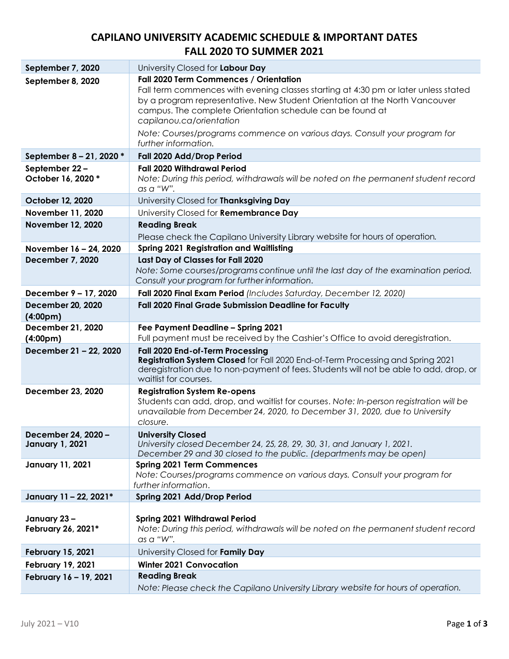## **CAPILANO UNIVERSITY ACADEMIC SCHEDULE & IMPORTANT DATES FALL 2020 TO SUMMER 2021**

| September 7, 2020                          | University Closed for Labour Day                                                                                                                                      |
|--------------------------------------------|-----------------------------------------------------------------------------------------------------------------------------------------------------------------------|
| September 8, 2020                          | Fall 2020 Term Commences / Orientation                                                                                                                                |
|                                            | Fall term commences with evening classes starting at 4:30 pm or later unless stated                                                                                   |
|                                            | by a program representative. New Student Orientation at the North Vancouver                                                                                           |
|                                            | campus. The complete Orientation schedule can be found at<br>capilanou.ca/orientation                                                                                 |
|                                            | Note: Courses/programs commence on various days. Consult your program for                                                                                             |
|                                            | further information.                                                                                                                                                  |
| September 8 - 21, 2020 *                   | Fall 2020 Add/Drop Period                                                                                                                                             |
| September 22-                              | <b>Fall 2020 Withdrawal Period</b>                                                                                                                                    |
| October 16, 2020 *                         | Note: During this period, withdrawals will be noted on the permanent student record<br>as a "W".                                                                      |
| October 12, 2020                           | University Closed for Thanksgiving Day                                                                                                                                |
| November 11, 2020                          | University Closed for Remembrance Day                                                                                                                                 |
| <b>November 12, 2020</b>                   | <b>Reading Break</b>                                                                                                                                                  |
|                                            | Please check the Capilano University Library website for hours of operation.                                                                                          |
| November 16 - 24, 2020                     | <b>Spring 2021 Registration and Waitlisting</b>                                                                                                                       |
| <b>December 7, 2020</b>                    | Last Day of Classes for Fall 2020                                                                                                                                     |
|                                            | Note: Some courses/programs continue until the last day of the examination period.                                                                                    |
|                                            | Consult your program for further information.                                                                                                                         |
| December 9 - 17, 2020                      | Fall 2020 Final Exam Period (Includes Saturday, December 12, 2020)                                                                                                    |
| <b>December 20, 2020</b>                   | Fall 2020 Final Grade Submission Deadline for Faculty                                                                                                                 |
| (4:00 <sub>pm</sub> )                      |                                                                                                                                                                       |
| December 21, 2020<br>(4:00 <sub>pm</sub> ) | Fee Payment Deadline - Spring 2021<br>Full payment must be received by the Cashier's Office to avoid deregistration.                                                  |
| December 21 - 22, 2020                     | Fall 2020 End-of-Term Processing                                                                                                                                      |
|                                            | Registration System Closed for Fall 2020 End-of-Term Processing and Spring 2021                                                                                       |
|                                            | deregistration due to non-payment of fees. Students will not be able to add, drop, or                                                                                 |
|                                            | waitlist for courses.                                                                                                                                                 |
| December 23, 2020                          | <b>Registration System Re-opens</b>                                                                                                                                   |
|                                            | Students can add, drop, and waitlist for courses. Note: In-person registration will be<br>unavailable from December 24, 2020, to December 31, 2020, due to University |
|                                            | closure.                                                                                                                                                              |
| December 24, 2020 -                        | <b>University Closed</b>                                                                                                                                              |
| <b>January 1, 2021</b>                     | University closed December 24, 25, 28, 29, 30, 31, and January 1, 2021.                                                                                               |
|                                            | December 29 and 30 closed to the public. (departments may be open)                                                                                                    |
| <b>January 11, 2021</b>                    | <b>Spring 2021 Term Commences</b>                                                                                                                                     |
|                                            | Note: Courses/programs commence on various days. Consult your program for<br>further information.                                                                     |
| January 11 - 22, 2021*                     | Spring 2021 Add/Drop Period                                                                                                                                           |
|                                            |                                                                                                                                                                       |
| January 23-                                | <b>Spring 2021 Withdrawal Period</b>                                                                                                                                  |
| February 26, 2021*                         | Note: During this period, withdrawals will be noted on the permanent student record                                                                                   |
|                                            | as a "W".                                                                                                                                                             |
| <b>February 15, 2021</b>                   | University Closed for Family Day                                                                                                                                      |
| <b>February 19, 2021</b>                   | <b>Winter 2021 Convocation</b>                                                                                                                                        |
| February 16 - 19, 2021                     | <b>Reading Break</b>                                                                                                                                                  |
|                                            | Note: Please check the Capilano University Library website for hours of operation.                                                                                    |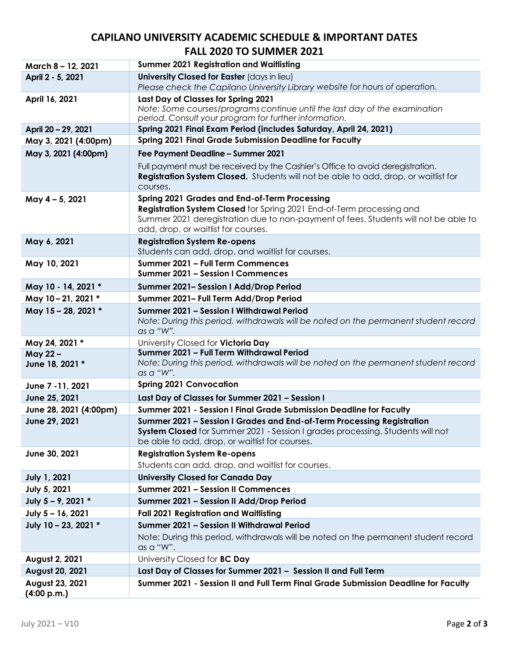## **CAPILANO UNIVERSITY ACADEMIC SCHEDULE & IMPORTANT DATES FALL 2020 TO SUMMER 2021**

| March 8 - 12, 2021                      | <b>Summer 2021 Registration and Waitlisting</b>                                                                                                      |
|-----------------------------------------|------------------------------------------------------------------------------------------------------------------------------------------------------|
| April 2 - 5, 2021                       | University Closed for Easter (days in lieu)                                                                                                          |
|                                         | Please check the Capilano University Library website for hours of operation.                                                                         |
| April 16, 2021                          | Last Day of Classes for Spring 2021<br>Note: Some courses/programs continue until the last day of the examination                                    |
|                                         | period. Consult your program for further information.                                                                                                |
| April 20 - 29, 2021                     | Spring 2021 Final Exam Period (includes Saturday, April 24, 2021)                                                                                    |
| May 3, 2021 (4:00pm)                    | <b>Spring 2021 Final Grade Submission Deadline for Faculty</b>                                                                                       |
| May 3, 2021 (4:00pm)                    | Fee Payment Deadline - Summer 2021                                                                                                                   |
|                                         | Full payment must be received by the Cashier's Office to avoid deregistration.                                                                       |
|                                         | Registration System Closed. Students will not be able to add, drop, or waitlist for                                                                  |
|                                         | courses.                                                                                                                                             |
| May 4 - 5, 2021                         | <b>Spring 2021 Grades and End-of-Term Processing</b><br>Registration System Closed for Spring 2021 End-of-Term processing and                        |
|                                         | Summer 2021 deregistration due to non-payment of fees. Students will not be able to                                                                  |
|                                         | add, drop, or waitlist for courses.                                                                                                                  |
| May 6, 2021                             | <b>Registration System Re-opens</b>                                                                                                                  |
|                                         | Students can add, drop, and waitlist for courses.                                                                                                    |
| May 10, 2021                            | Summer 2021 - Full Term Commences                                                                                                                    |
|                                         | Summer 2021 - Session I Commences                                                                                                                    |
| May 10 - 14, 2021 *                     | Summer 2021- Session I Add/Drop Period                                                                                                               |
| May 10-21, 2021 *                       | Summer 2021- Full Term Add/Drop Period                                                                                                               |
| May 15 - 28, 2021 *                     | Summer 2021 - Session I Withdrawal Period                                                                                                            |
|                                         | Note: During this period, withdrawals will be noted on the permanent student record<br>as a "W".                                                     |
| May 24, 2021 *                          | University Closed for Victoria Day                                                                                                                   |
| May 22-                                 | Summer 2021 - Full Term Withdrawal Period                                                                                                            |
| June 18, 2021 *                         | Note: During this period, withdrawals will be noted on the permanent student record                                                                  |
|                                         | as a "W".<br><b>Spring 2021 Convocation</b>                                                                                                          |
| June 7 - 11, 2021                       |                                                                                                                                                      |
| June 25, 2021                           | Last Day of Classes for Summer 2021 - Session I                                                                                                      |
| June 28, 2021 (4:00pm)<br>June 29, 2021 | Summer 2021 - Session I Final Grade Submission Deadline for Faculty<br>Summer 2021 - Session I Grades and End-of-Term Processing Registration        |
|                                         | System Closed for Summer 2021 - Session I grades processing. Students will not                                                                       |
|                                         | be able to add, drop, or waitlist for courses.                                                                                                       |
| June 30, 2021                           | <b>Registration System Re-opens</b>                                                                                                                  |
|                                         | Students can add, drop, and waitlist for courses.                                                                                                    |
| <b>July 1, 2021</b>                     | <b>University Closed for Canada Day</b>                                                                                                              |
| July 5, 2021                            | <b>Summer 2021 - Session II Commences</b>                                                                                                            |
| July 5 - 9, 2021 *                      | Summer 2021 - Session II Add/Drop Period                                                                                                             |
| July 5 - 16, 2021                       | <b>Fall 2021 Registration and Waitlisting</b>                                                                                                        |
| July 10 - 23, 2021 *                    | Summer 2021 - Session II Withdrawal Period                                                                                                           |
|                                         | Note: During this period, withdrawals will be noted on the permanent student record                                                                  |
|                                         | as a "W".                                                                                                                                            |
| August 2, 2021                          | University Closed for <b>BC Day</b>                                                                                                                  |
| August 20, 2021<br>August 23, 2021      | Last Day of Classes for Summer 2021 - Session II and Full Term<br>Summer 2021 - Session II and Full Term Final Grade Submission Deadline for Faculty |
| (4:00 p.m.)                             |                                                                                                                                                      |